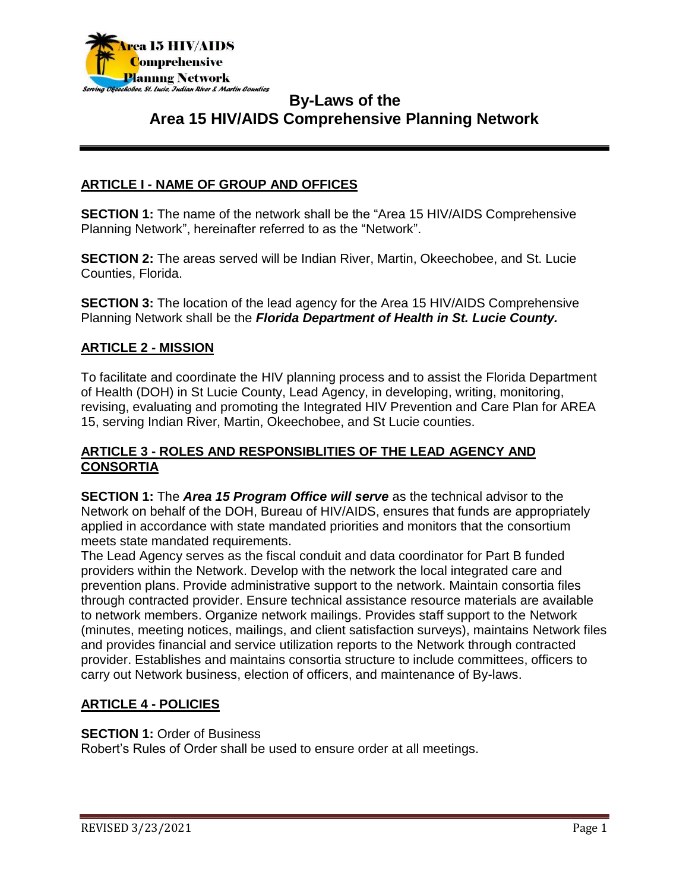

### **ARTICLE I - NAME OF GROUP AND OFFICES**

**SECTION 1:** The name of the network shall be the "Area 15 HIV/AIDS Comprehensive Planning Network", hereinafter referred to as the "Network".

**SECTION 2:** The areas served will be Indian River, Martin, Okeechobee, and St. Lucie Counties, Florida.

**SECTION 3:** The location of the lead agency for the Area 15 HIV/AIDS Comprehensive Planning Network shall be the *Florida Department of Health in St. Lucie County.*

### **ARTICLE 2 - MISSION**

To facilitate and coordinate the HIV planning process and to assist the Florida Department of Health (DOH) in St Lucie County, Lead Agency, in developing, writing, monitoring, revising, evaluating and promoting the Integrated HIV Prevention and Care Plan for AREA 15, serving Indian River, Martin, Okeechobee, and St Lucie counties.

### **ARTICLE 3 - ROLES AND RESPONSIBLITIES OF THE LEAD AGENCY AND CONSORTIA**

**SECTION 1:** The *Area 15 Program Office will serve* as the technical advisor to the Network on behalf of the DOH, Bureau of HIV/AIDS, ensures that funds are appropriately applied in accordance with state mandated priorities and monitors that the consortium meets state mandated requirements.

The Lead Agency serves as the fiscal conduit and data coordinator for Part B funded providers within the Network. Develop with the network the local integrated care and prevention plans. Provide administrative support to the network. Maintain consortia files through contracted provider. Ensure technical assistance resource materials are available to network members. Organize network mailings. Provides staff support to the Network (minutes, meeting notices, mailings, and client satisfaction surveys), maintains Network files and provides financial and service utilization reports to the Network through contracted provider. Establishes and maintains consortia structure to include committees, officers to carry out Network business, election of officers, and maintenance of By-laws.

### **ARTICLE 4 - POLICIES**

#### **SECTION 1: Order of Business**

Robert's Rules of Order shall be used to ensure order at all meetings.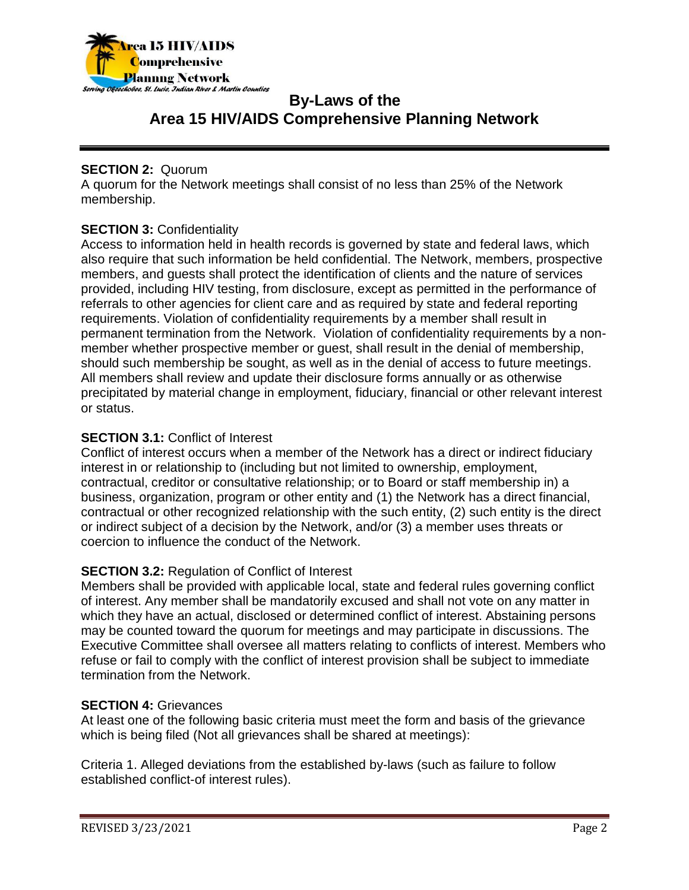

### **SECTION 2: Quorum**

A quorum for the Network meetings shall consist of no less than 25% of the Network membership.

### **SECTION 3:** Confidentiality

Access to information held in health records is governed by state and federal laws, which also require that such information be held confidential. The Network, members, prospective members, and guests shall protect the identification of clients and the nature of services provided, including HIV testing, from disclosure, except as permitted in the performance of referrals to other agencies for client care and as required by state and federal reporting requirements. Violation of confidentiality requirements by a member shall result in permanent termination from the Network. Violation of confidentiality requirements by a nonmember whether prospective member or guest, shall result in the denial of membership, should such membership be sought, as well as in the denial of access to future meetings. All members shall review and update their disclosure forms annually or as otherwise precipitated by material change in employment, fiduciary, financial or other relevant interest or status.

### **SECTION 3.1:** Conflict of Interest

Conflict of interest occurs when a member of the Network has a direct or indirect fiduciary interest in or relationship to (including but not limited to ownership, employment, contractual, creditor or consultative relationship; or to Board or staff membership in) a business, organization, program or other entity and (1) the Network has a direct financial, contractual or other recognized relationship with the such entity, (2) such entity is the direct or indirect subject of a decision by the Network, and/or (3) a member uses threats or coercion to influence the conduct of the Network.

## **SECTION 3.2:** Regulation of Conflict of Interest

Members shall be provided with applicable local, state and federal rules governing conflict of interest. Any member shall be mandatorily excused and shall not vote on any matter in which they have an actual, disclosed or determined conflict of interest. Abstaining persons may be counted toward the quorum for meetings and may participate in discussions. The Executive Committee shall oversee all matters relating to conflicts of interest. Members who refuse or fail to comply with the conflict of interest provision shall be subject to immediate termination from the Network.

### **SECTION 4:** Grievances

At least one of the following basic criteria must meet the form and basis of the grievance which is being filed (Not all grievances shall be shared at meetings):

Criteria 1. Alleged deviations from the established by-laws (such as failure to follow established conflict-of interest rules).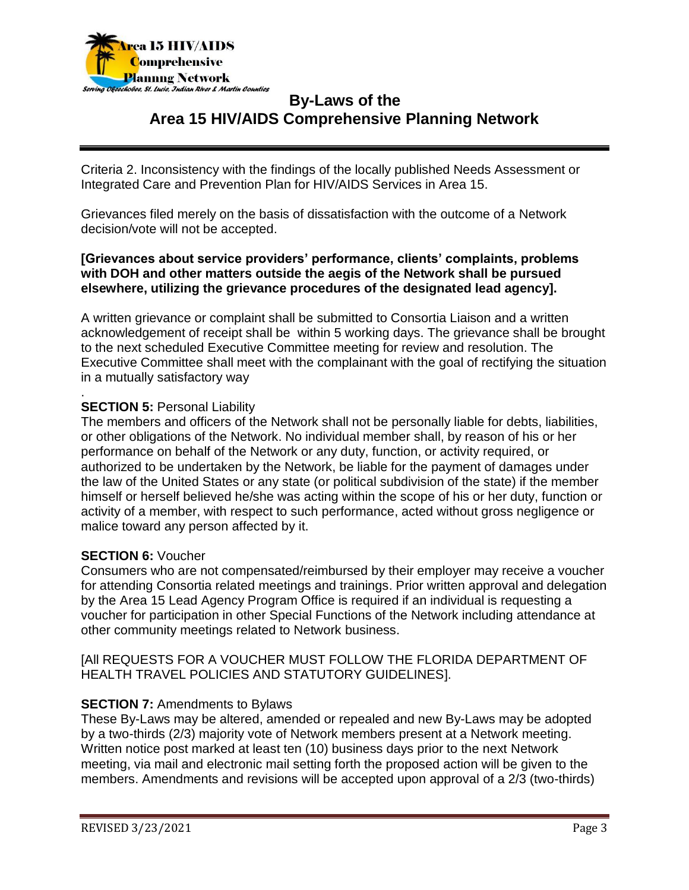

Criteria 2. Inconsistency with the findings of the locally published Needs Assessment or Integrated Care and Prevention Plan for HIV/AIDS Services in Area 15.

Grievances filed merely on the basis of dissatisfaction with the outcome of a Network decision/vote will not be accepted.

#### **[Grievances about service providers' performance, clients' complaints, problems with DOH and other matters outside the aegis of the Network shall be pursued elsewhere, utilizing the grievance procedures of the designated lead agency].**

A written grievance or complaint shall be submitted to Consortia Liaison and a written acknowledgement of receipt shall be within 5 working days. The grievance shall be brought to the next scheduled Executive Committee meeting for review and resolution. The Executive Committee shall meet with the complainant with the goal of rectifying the situation in a mutually satisfactory way

#### . **SECTION 5: Personal Liability**

The members and officers of the Network shall not be personally liable for debts, liabilities, or other obligations of the Network. No individual member shall, by reason of his or her performance on behalf of the Network or any duty, function, or activity required, or authorized to be undertaken by the Network, be liable for the payment of damages under the law of the United States or any state (or political subdivision of the state) if the member himself or herself believed he/she was acting within the scope of his or her duty, function or activity of a member, with respect to such performance, acted without gross negligence or malice toward any person affected by it.

#### **SECTION 6:** Voucher

Consumers who are not compensated/reimbursed by their employer may receive a voucher for attending Consortia related meetings and trainings. Prior written approval and delegation by the Area 15 Lead Agency Program Office is required if an individual is requesting a voucher for participation in other Special Functions of the Network including attendance at other community meetings related to Network business.

[All REQUESTS FOR A VOUCHER MUST FOLLOW THE FLORIDA DEPARTMENT OF HEALTH TRAVEL POLICIES AND STATUTORY GUIDELINES].

### **SECTION 7: Amendments to Bylaws**

These By-Laws may be altered, amended or repealed and new By-Laws may be adopted by a two-thirds (2/3) majority vote of Network members present at a Network meeting. Written notice post marked at least ten (10) business days prior to the next Network meeting, via mail and electronic mail setting forth the proposed action will be given to the members. Amendments and revisions will be accepted upon approval of a 2/3 (two-thirds)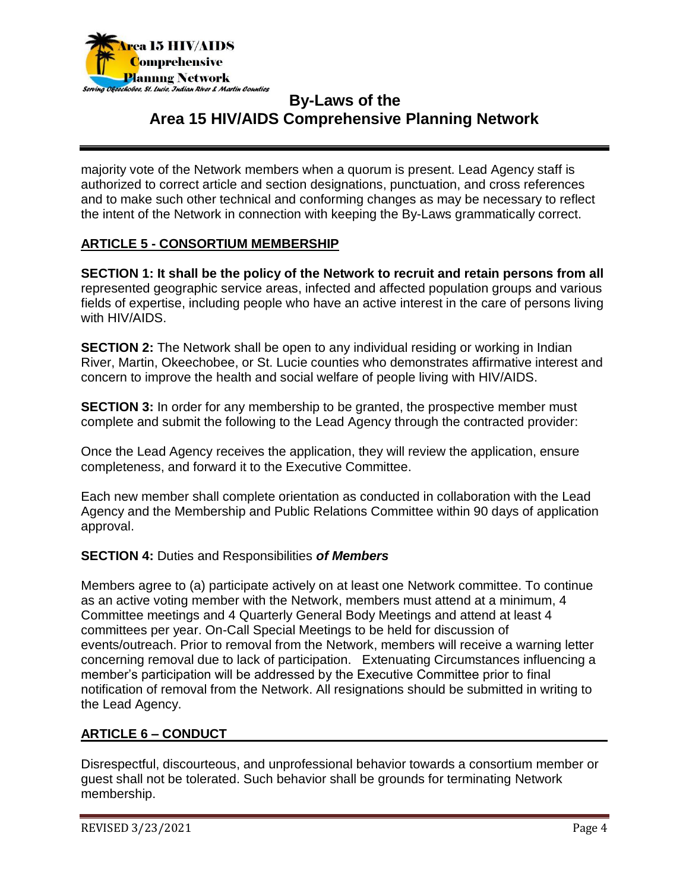

majority vote of the Network members when a quorum is present. Lead Agency staff is authorized to correct article and section designations, punctuation, and cross references and to make such other technical and conforming changes as may be necessary to reflect the intent of the Network in connection with keeping the By-Laws grammatically correct.

### **ARTICLE 5 - CONSORTIUM MEMBERSHIP**

**SECTION 1: It shall be the policy of the Network to recruit and retain persons from all** represented geographic service areas, infected and affected population groups and various fields of expertise, including people who have an active interest in the care of persons living with HIV/AIDS.

**SECTION 2:** The Network shall be open to any individual residing or working in Indian River, Martin, Okeechobee, or St. Lucie counties who demonstrates affirmative interest and concern to improve the health and social welfare of people living with HIV/AIDS.

**SECTION 3:** In order for any membership to be granted, the prospective member must complete and submit the following to the Lead Agency through the contracted provider:

Once the Lead Agency receives the application, they will review the application, ensure completeness, and forward it to the Executive Committee.

Each new member shall complete orientation as conducted in collaboration with the Lead Agency and the Membership and Public Relations Committee within 90 days of application approval.

#### **SECTION 4:** Duties and Responsibilities *of Members*

Members agree to (a) participate actively on at least one Network committee. To continue as an active voting member with the Network, members must attend at a minimum, 4 Committee meetings and 4 Quarterly General Body Meetings and attend at least 4 committees per year. On-Call Special Meetings to be held for discussion of events/outreach. Prior to removal from the Network, members will receive a warning letter concerning removal due to lack of participation. Extenuating Circumstances influencing a member's participation will be addressed by the Executive Committee prior to final notification of removal from the Network. All resignations should be submitted in writing to the Lead Agency.

#### **ARTICLE 6 – CONDUCT**

Disrespectful, discourteous, and unprofessional behavior towards a consortium member or guest shall not be tolerated. Such behavior shall be grounds for terminating Network membership.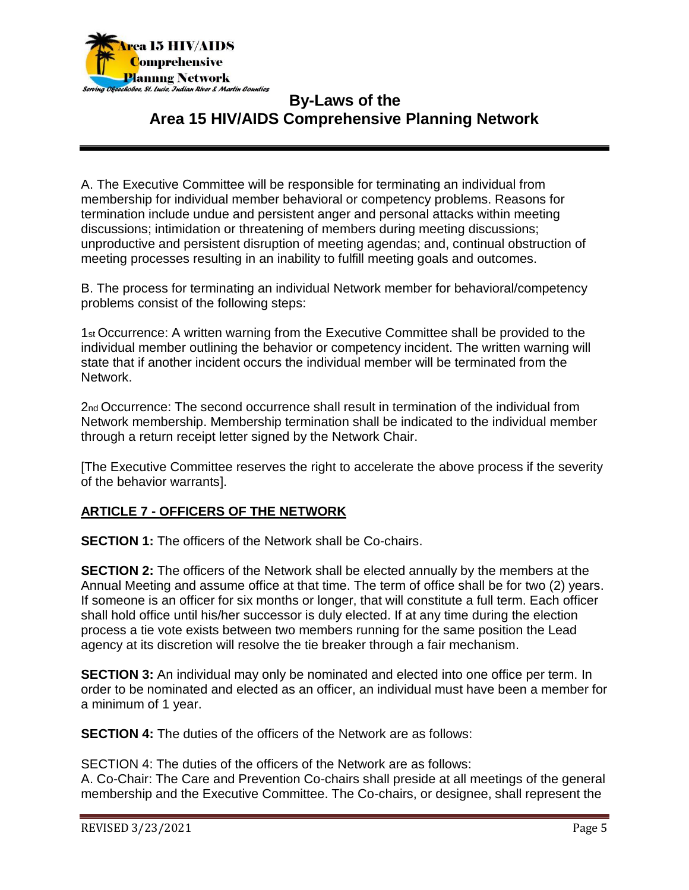

A. The Executive Committee will be responsible for terminating an individual from membership for individual member behavioral or competency problems. Reasons for termination include undue and persistent anger and personal attacks within meeting discussions; intimidation or threatening of members during meeting discussions; unproductive and persistent disruption of meeting agendas; and, continual obstruction of meeting processes resulting in an inability to fulfill meeting goals and outcomes.

B. The process for terminating an individual Network member for behavioral/competency problems consist of the following steps:

1st Occurrence: A written warning from the Executive Committee shall be provided to the individual member outlining the behavior or competency incident. The written warning will state that if another incident occurs the individual member will be terminated from the Network.

2nd Occurrence: The second occurrence shall result in termination of the individual from Network membership. Membership termination shall be indicated to the individual member through a return receipt letter signed by the Network Chair.

[The Executive Committee reserves the right to accelerate the above process if the severity of the behavior warrants].

### **ARTICLE 7 - OFFICERS OF THE NETWORK**

**SECTION 1:** The officers of the Network shall be Co-chairs.

**SECTION 2:** The officers of the Network shall be elected annually by the members at the Annual Meeting and assume office at that time. The term of office shall be for two (2) years. If someone is an officer for six months or longer, that will constitute a full term. Each officer shall hold office until his/her successor is duly elected. If at any time during the election process a tie vote exists between two members running for the same position the Lead agency at its discretion will resolve the tie breaker through a fair mechanism.

**SECTION 3:** An individual may only be nominated and elected into one office per term. In order to be nominated and elected as an officer, an individual must have been a member for a minimum of 1 year.

**SECTION 4:** The duties of the officers of the Network are as follows:

SECTION 4: The duties of the officers of the Network are as follows: A. Co-Chair: The Care and Prevention Co-chairs shall preside at all meetings of the general membership and the Executive Committee. The Co-chairs, or designee, shall represent the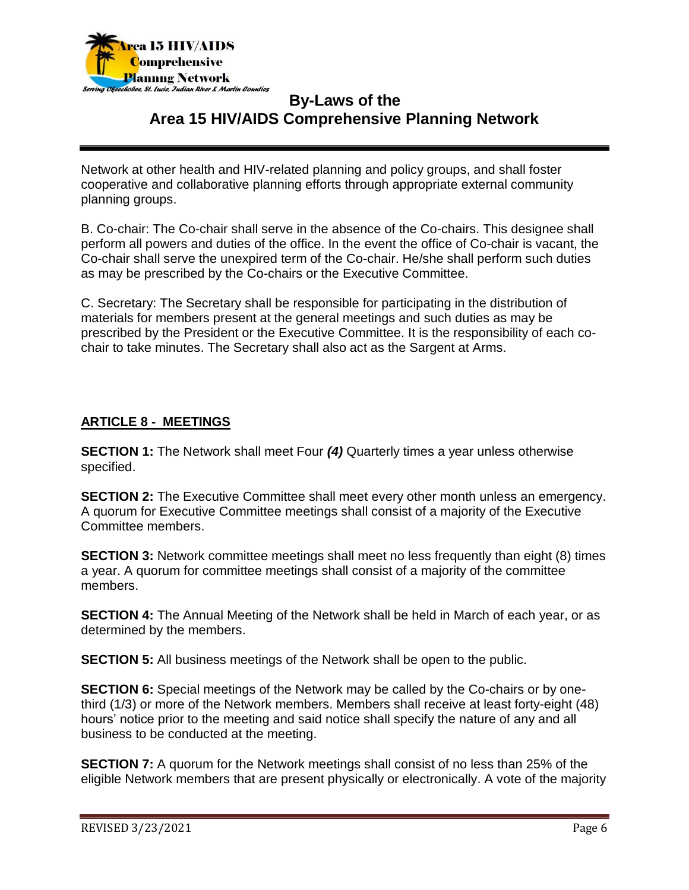

Network at other health and HIV-related planning and policy groups, and shall foster cooperative and collaborative planning efforts through appropriate external community planning groups.

B. Co-chair: The Co-chair shall serve in the absence of the Co-chairs. This designee shall perform all powers and duties of the office. In the event the office of Co-chair is vacant, the Co-chair shall serve the unexpired term of the Co-chair. He/she shall perform such duties as may be prescribed by the Co-chairs or the Executive Committee.

C. Secretary: The Secretary shall be responsible for participating in the distribution of materials for members present at the general meetings and such duties as may be prescribed by the President or the Executive Committee. It is the responsibility of each cochair to take minutes. The Secretary shall also act as the Sargent at Arms.

### **ARTICLE 8 - MEETINGS**

**SECTION 1:** The Network shall meet Four *(4)* Quarterly times a year unless otherwise specified.

**SECTION 2:** The Executive Committee shall meet every other month unless an emergency. A quorum for Executive Committee meetings shall consist of a majority of the Executive Committee members.

**SECTION 3:** Network committee meetings shall meet no less frequently than eight (8) times a year. A quorum for committee meetings shall consist of a majority of the committee members.

**SECTION 4:** The Annual Meeting of the Network shall be held in March of each year, or as determined by the members.

**SECTION 5:** All business meetings of the Network shall be open to the public.

**SECTION 6:** Special meetings of the Network may be called by the Co-chairs or by onethird (1/3) or more of the Network members. Members shall receive at least forty-eight (48) hours' notice prior to the meeting and said notice shall specify the nature of any and all business to be conducted at the meeting.

**SECTION 7:** A quorum for the Network meetings shall consist of no less than 25% of the eligible Network members that are present physically or electronically. A vote of the majority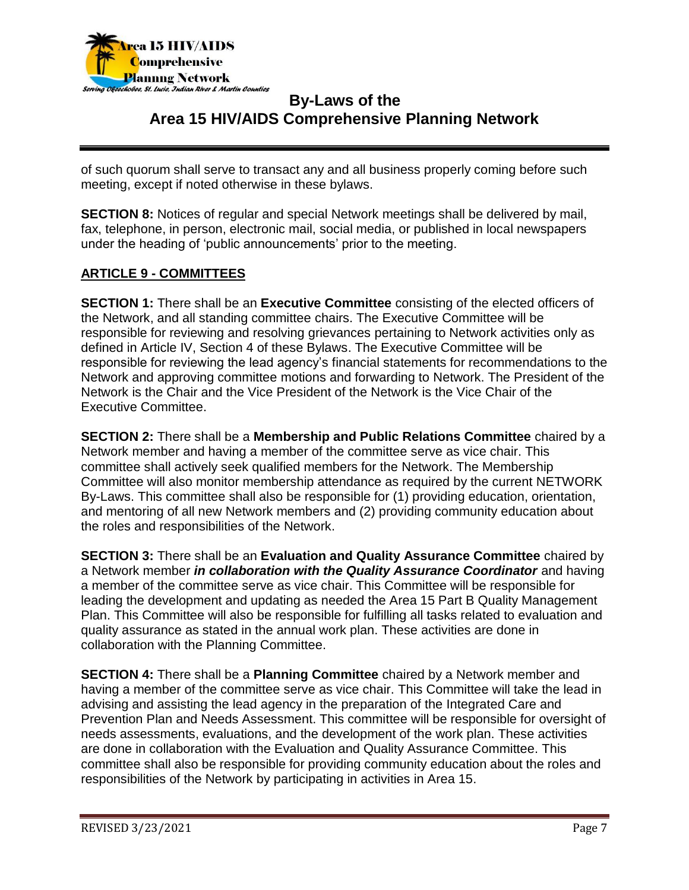

of such quorum shall serve to transact any and all business properly coming before such meeting, except if noted otherwise in these bylaws.

**SECTION 8:** Notices of regular and special Network meetings shall be delivered by mail, fax, telephone, in person, electronic mail, social media, or published in local newspapers under the heading of 'public announcements' prior to the meeting.

### **ARTICLE 9 - COMMITTEES**

**SECTION 1:** There shall be an **Executive Committee** consisting of the elected officers of the Network, and all standing committee chairs. The Executive Committee will be responsible for reviewing and resolving grievances pertaining to Network activities only as defined in Article IV, Section 4 of these Bylaws. The Executive Committee will be responsible for reviewing the lead agency's financial statements for recommendations to the Network and approving committee motions and forwarding to Network. The President of the Network is the Chair and the Vice President of the Network is the Vice Chair of the Executive Committee.

**SECTION 2:** There shall be a **Membership and Public Relations Committee** chaired by a Network member and having a member of the committee serve as vice chair. This committee shall actively seek qualified members for the Network. The Membership Committee will also monitor membership attendance as required by the current NETWORK By-Laws. This committee shall also be responsible for (1) providing education, orientation, and mentoring of all new Network members and (2) providing community education about the roles and responsibilities of the Network.

**SECTION 3:** There shall be an **Evaluation and Quality Assurance Committee** chaired by a Network member *in collaboration with the Quality Assurance Coordinator* and having a member of the committee serve as vice chair. This Committee will be responsible for leading the development and updating as needed the Area 15 Part B Quality Management Plan. This Committee will also be responsible for fulfilling all tasks related to evaluation and quality assurance as stated in the annual work plan. These activities are done in collaboration with the Planning Committee.

**SECTION 4:** There shall be a **Planning Committee** chaired by a Network member and having a member of the committee serve as vice chair. This Committee will take the lead in advising and assisting the lead agency in the preparation of the Integrated Care and Prevention Plan and Needs Assessment. This committee will be responsible for oversight of needs assessments, evaluations, and the development of the work plan. These activities are done in collaboration with the Evaluation and Quality Assurance Committee. This committee shall also be responsible for providing community education about the roles and responsibilities of the Network by participating in activities in Area 15.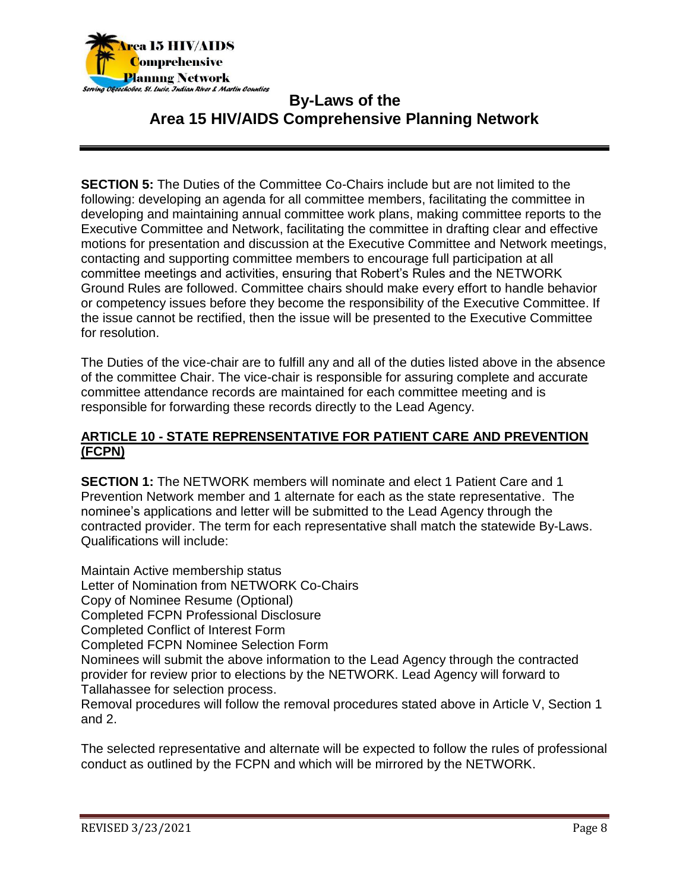

**SECTION 5:** The Duties of the Committee Co-Chairs include but are not limited to the following: developing an agenda for all committee members, facilitating the committee in developing and maintaining annual committee work plans, making committee reports to the Executive Committee and Network, facilitating the committee in drafting clear and effective motions for presentation and discussion at the Executive Committee and Network meetings, contacting and supporting committee members to encourage full participation at all committee meetings and activities, ensuring that Robert's Rules and the NETWORK Ground Rules are followed. Committee chairs should make every effort to handle behavior or competency issues before they become the responsibility of the Executive Committee. If the issue cannot be rectified, then the issue will be presented to the Executive Committee for resolution.

The Duties of the vice-chair are to fulfill any and all of the duties listed above in the absence of the committee Chair. The vice-chair is responsible for assuring complete and accurate committee attendance records are maintained for each committee meeting and is responsible for forwarding these records directly to the Lead Agency.

#### **ARTICLE 10 - STATE REPRENSENTATIVE FOR PATIENT CARE AND PREVENTION (FCPN)**

**SECTION 1:** The NETWORK members will nominate and elect 1 Patient Care and 1 Prevention Network member and 1 alternate for each as the state representative. The nominee's applications and letter will be submitted to the Lead Agency through the contracted provider. The term for each representative shall match the statewide By-Laws. Qualifications will include:

Maintain Active membership status Letter of Nomination from NETWORK Co-Chairs Copy of Nominee Resume (Optional) Completed FCPN Professional Disclosure Completed Conflict of Interest Form Completed FCPN Nominee Selection Form Nominees will submit the above information to the Lead Agency through the contracted provider for review prior to elections by the NETWORK. Lead Agency will forward to Tallahassee for selection process. Removal procedures will follow the removal procedures stated above in Article V, Section 1 and 2.

The selected representative and alternate will be expected to follow the rules of professional conduct as outlined by the FCPN and which will be mirrored by the NETWORK.